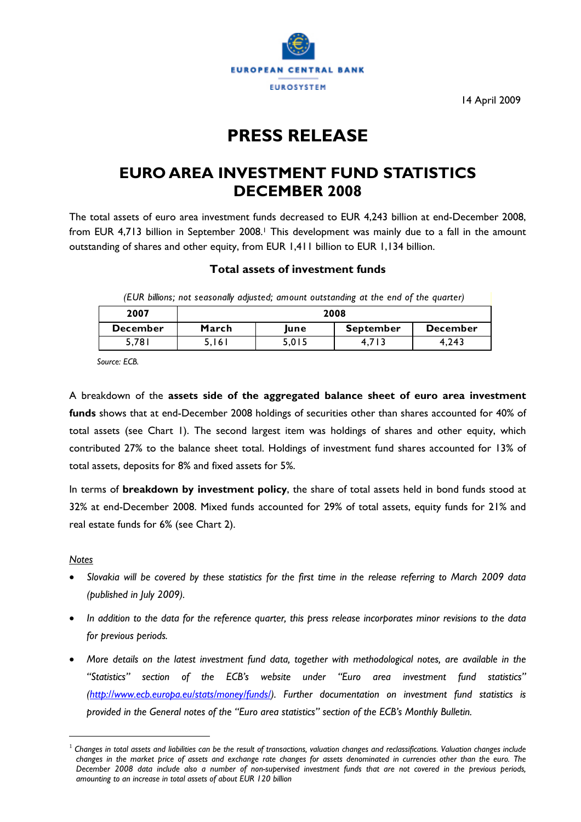

14 April 2009

# **PRESS RELEASE**

## **EURO AREA INVESTMENT FUND STATISTICS DECEMBER 2008**

The total assets of euro area investment funds decreased to EUR 4,243 billion at end-December 2008, from EUR 4,713 billion in September 2008.<sup>1</sup> This development was mainly due to a fall in the amount outstanding of shares and other equity, from EUR 1,411 billion to EUR 1,134 billion.

#### **Total assets of investment funds**

*(EUR billions; not seasonally adjusted; amount outstanding at the end of the quarter)*

| 2007            | 2008  |       |                  |                 |  |  |  |
|-----------------|-------|-------|------------------|-----------------|--|--|--|
| <b>December</b> | March | lune  | <b>September</b> | <b>December</b> |  |  |  |
| 5,781           | 5.161 | 5.015 |                  | 4.243           |  |  |  |

*Source: ECB.* 

A breakdown of the **assets side of the aggregated balance sheet of euro area investment funds** shows that at end-December 2008 holdings of securities other than shares accounted for 40% of total assets (see Chart 1). The second largest item was holdings of shares and other equity, which contributed 27% to the balance sheet total. Holdings of investment fund shares accounted for 13% of total assets, deposits for 8% and fixed assets for 5%.

In terms of **breakdown by investment policy**, the share of total assets held in bond funds stood at 32% at end-December 2008. Mixed funds accounted for 29% of total assets, equity funds for 21% and real estate funds for 6% (see Chart 2).

*Notes*

 $\overline{a}$ 

- *Slovakia will be covered by these statistics for the first time in the release referring to March 2009 data (published in July 2009).*
- *In addition to the data for the reference quarter, this press release incorporates minor revisions to the data for previous periods.*
- *More details on the latest investment fund data, together with methodological notes, are available in the "Statistics" section of the ECB's website under "Euro area investment fund statistics" [\(http://www.ecb.europa.eu/stats/money/funds/\)](http://www.ecb.europa.eu/stats/money/funds/). Further documentation on investment fund statistics is provided in the General notes of the "Euro area statistics" section of the ECB's Monthly Bulletin.*

<span id="page-0-0"></span><sup>1</sup> *Changes in total assets and liabilities can be the result of transactions, valuation changes and reclassifications. Valuation changes include changes in the market price of assets and exchange rate changes for assets denominated in currencies other than the euro. The December 2008 data include also a number of non-supervised investment funds that are not covered in the previous periods, amounting to an increase in total assets of about EUR 120 billion*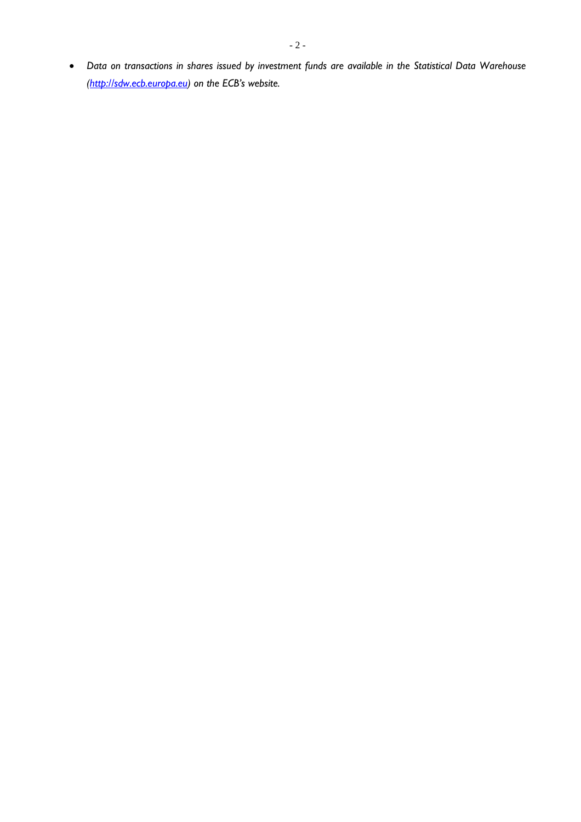• *Data on transactions in shares issued by investment funds are available in the Statistical Data Warehouse [\(http://sdw.ecb.europa.eu](http://sdw.ecb.europa.eu/)) on the ECB's website.*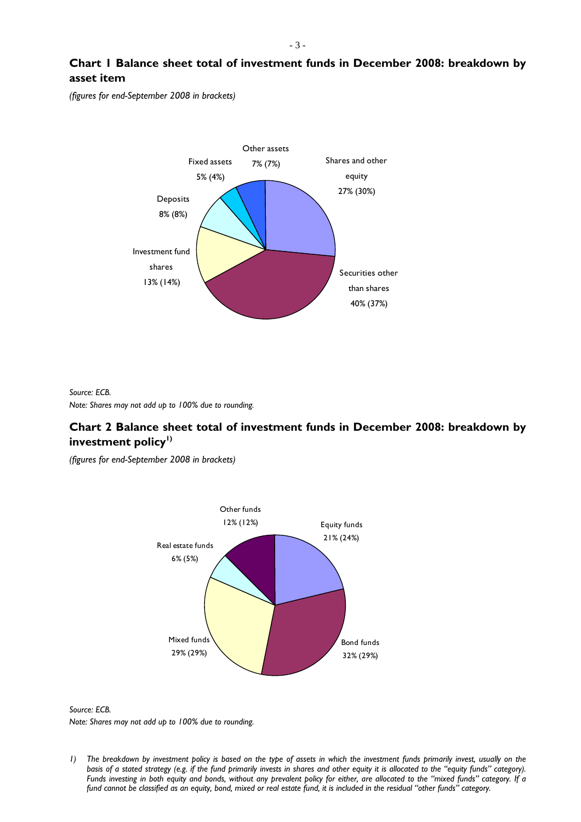**Chart 1 Balance sheet total of investment funds in December 2008: breakdown by asset item** 

*(figures for end-September 2008 in brackets)* 



*Source: ECB. Note: Shares may not add up to 100% due to rounding.* 

### **Chart 2 Balance sheet total of investment funds in December 2008: breakdown by**  investment policy<sup>1)</sup>

*(figures for end-September 2008 in brackets)* 





*<sup>1</sup>*) The breakdown by investment policy is based on the type of assets in which the investment funds primarily invest, usually on the basis of a stated strategy (e.g. if the fund primarily invests in shares and other equity it is allocated to the "equity funds" category). *Funds investing in both equity and bonds, without any prevalent policy for either, are allocated to the "mixed funds" category. If a fund cannot be classified as an equity, bond, mixed or real estate fund, it is included in the residual "other funds" category.*